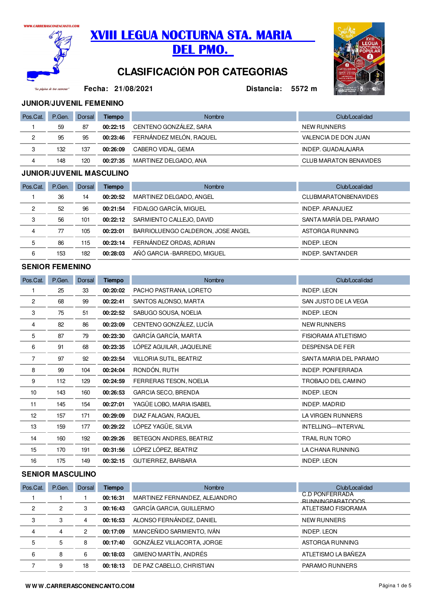

"La página de tus cari



# **CLASIFICACIÓN POR CATEGORIAS**



**Fecha:**

**21/08/2021 Distancia: 5572 m**

## **JUNIOR/JUVENIL FEMENINO**

| Pos.Cat. | P.Gen. | Dorsal | <b>Tiempo</b> | Nombre                  | Club/Localidad                |
|----------|--------|--------|---------------|-------------------------|-------------------------------|
|          | 59     | 87     | 00:22:15      | CENTENO GONZÁLEZ, SARA  | NEW RUNNERS                   |
| ົ        | 95     | 95     | 00:23:46      | FERNÁNDEZ MELÓN, RAQUEL | VALENCIA DE DON JUAN          |
| ◠        | 132    | 137    | 00:26:09      | CABERO VIDAL, GEMA      | INDEP. GUADALAJARA            |
| 4        | 148    | 120    | 00:27:35      | MARTINEZ DELGADO, ANA   | <b>CLUB MARATON BENAVIDES</b> |

#### **JUNIOR/JUVENIL MASCULINO**

| Pos.Cat. | P.Gen. | Dorsal | Tiempo   | <b>Nombre</b>                     | Club/Localidad              |
|----------|--------|--------|----------|-----------------------------------|-----------------------------|
|          | 36     | 14     | 00:20:52 | MARTINEZ DELGADO, ANGEL           | <b>CLUBMARATONBENAVIDES</b> |
| 2        | 52     | 96     | 00:21:54 | FIDALGO GARCÍA, MIGUEL            | INDEP. ARANJUEZ             |
| 3        | 56     | 101    | 00:22:12 | SARMIENTO CALLEJO, DAVID          | SANTA MARÍA DEL PARAMO      |
| 4        | 77     | 105    | 00:23:01 | BARRIOLUENGO CALDERON, JOSE ANGEL | ASTORGA RUNNING             |
| 5        | 86     | 115    | 00:23:14 | FERNÁNDEZ ORDAS, ADRIAN           | <b>INDEP. LEON</b>          |
| 6        | 153    | 182    | 00:28:03 | AÑÓ GARCIA - BARREDO, MIGUEL      | <b>INDEP. SANTANDER</b>     |

#### **SENIOR FEMENINO**

| Pos.Cat.       | P.Gen. | Dorsal | <b>Tiempo</b> | <b>Nombre</b>              | Club/Localidad           |
|----------------|--------|--------|---------------|----------------------------|--------------------------|
|                | 25     | 33     | 00:20:02      | PACHO PASTRANA, LORETO     | <b>INDEP. LEON</b>       |
| $\overline{2}$ | 68     | 99     | 00:22:41      | SANTOS ALONSO, MARTA       | SAN JUSTO DE LA VEGA     |
| 3              | 75     | 51     | 00:22:52      | SABUGO SOUSA, NOELIA       | <b>INDEP. LEON</b>       |
| 4              | 82     | 86     | 00:23:09      | CENTENO GONZÁLEZ, LUCÍA    | <b>NEW RUNNERS</b>       |
| 5              | 87     | 79     | 00:23:30      | GARCÍA GARCÍA, MARTA       | FISIORAMA ATLETISMO      |
| 6              | 91     | 68     | 00:23:35      | LÓPEZ AGUILAR, JAQUELINE   | <b>DESPENSA DE FER</b>   |
| $\overline{7}$ | 97     | 92     | 00:23:54      | VILLORIA SUTIL, BEATRIZ    | SANTA MARIA DEL PARAMO   |
| 8              | 99     | 104    | 00:24:04      | RONDÓN, RUTH               | <b>INDEP. PONFERRADA</b> |
| 9              | 112    | 129    | 00:24:59      | FERRERAS TESON, NOELIA     | TROBAJO DEL CAMINO       |
| 10             | 143    | 160    | 00:26:53      | <b>GARCIA SECO, BRENDA</b> | <b>INDEP. LEON</b>       |
| 11             | 145    | 154    | 00:27:01      | YAGÜE LOBO, MARIA ISABEL   | <b>INDEP, MADRID</b>     |
| 12             | 157    | 171    | 00:29:09      | DIAZ FALAGAN, RAQUEL       | LA VIRGEN RUNNERS        |
| 13             | 159    | 177    | 00:29:22      | LÓPEZ YAGÜE, SILVIA        | INTELLING-INTERVAL       |
| 14             | 160    | 192    | 00:29:26      | BETEGON ANDRES, BEATRIZ    | TRAIL RUN TORO           |
| 15             | 170    | 191    | 00:31:56      | LÓPEZ LÓPEZ, BEATRIZ       | LA CHANA RUNNING         |
| 16             | 175    | 149    | 00:32:15      | GUTIERREZ, BARBARA         | <b>INDEP. LEON</b>       |

## **SENIOR MASCULINO**

| Pos.Cat. | P.Gen.         | Dorsal | Tiempo   | <b>Nombre</b>                 | Club/Localidad                                   |
|----------|----------------|--------|----------|-------------------------------|--------------------------------------------------|
|          |                |        | 00:16:31 | MARTINEZ FERNANDEZ, ALEJANDRO | <b>C.D PONFERRADA</b><br><b>RUNNINGPARATODOS</b> |
| 2        | $\overline{2}$ | 3      | 00:16:43 | GARCÍA GARCIA, GUILLERMO      | ATLETISMO FISIORAMA                              |
| 3        | 3              | 4      | 00:16:53 | ALONSO FERNÁNDEZ, DANIEL      | <b>NEW RUNNERS</b>                               |
| 4        | 4              | 2      | 00:17:09 | MANCEÑIDO SARMIENTO, IVÁN     | <b>INDEP. LEON</b>                               |
| 5        | 5              | 8      | 00:17:40 | GONZÁLEZ VILLACORTA, JORGE    | ASTORGA RUNNING                                  |
| 6        | 8              | 6      | 00:18:03 | GIMENO MARTÍN, ANDRÉS         | ATLETISMO LA BAÑEZA                              |
|          | 9              | 18     | 00:18:13 | DE PAZ CABELLO, CHRISTIAN     | PARAMO RUNNERS                                   |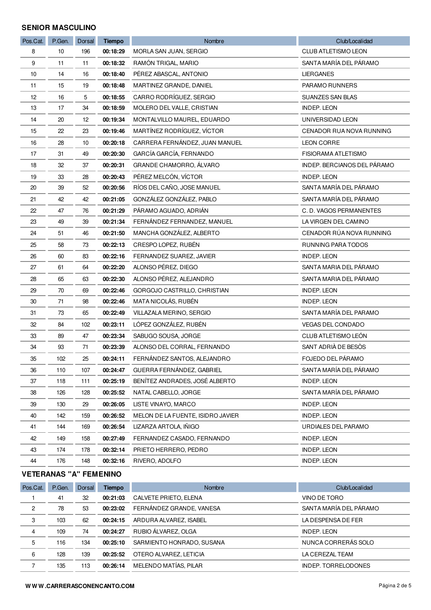## **SENIOR MASCULINO**

| Pos.Cat. | P.Gen. | Dorsal | <b>Tiempo</b> | Nombre                            | Club/Localidad              |
|----------|--------|--------|---------------|-----------------------------------|-----------------------------|
| 8        | 10     | 196    | 00:18:29      | MORLA SAN JUAN, SERGIO            | CLUB ATLETISMO LEON         |
| 9        | 11     | 11     | 00:18:32      | RAMÓN TRIGAL, MARIO               | SANTA MARÍA DEL PÁRAMO      |
| 10       | 14     | 16     | 00:18:40      | PÉREZ ABASCAL, ANTONIO            | <b>LIERGANES</b>            |
| 11       | 15     | 19     | 00:18:48      | MARTINEZ GRANDE, DANIEL           | PARAMO RUNNERS              |
| 12       | 16     | 5      | 00:18:55      | CARRO RODRÍGUEZ, SERGIO           | SUANZES SAN BLAS            |
| 13       | 17     | 34     | 00:18:59      | MOLERO DEL VALLE, CRISTIAN        | <b>INDEP. LEON</b>          |
| 14       | 20     | 12     | 00:19:34      | MONTALVILLO MAUREL, EDUARDO       | UNIVERSIDAD LEON            |
| 15       | 22     | 23     | 00:19:46      | MARTÍNEZ RODRÍGUEZ, VÍCTOR        | CENADOR RUA NOVA RUNNING    |
| 16       | 28     | 10     | 00:20:18      | CARRERA FERNÁNDEZ, JUAN MANUEL    | <b>LEON CORRE</b>           |
| 17       | 31     | 49     | 00:20:30      | GARCÍA GARCÍA, FERNANDO           | FISIORAMA ATLETISMO         |
| 18       | 32     | 37     | 00:20:31      | GRANDE CHAMORRO, ÁLVARO           | INDEP. BERCIANOS DEL PÁRAMO |
| 19       | 33     | 28     | 00:20:43      | PÉREZ MELCÓN, VÍCTOR              | <b>INDEP. LEON</b>          |
| 20       | 39     | 52     | 00:20:56      | RÍOS DEL CAÑO, JOSE MANUEL        | SANTA MARÍA DEL PÁRAMO      |
| 21       | 42     | 42     | 00:21:05      | GONZÁLEZ GONZÁLEZ, PABLO          | SANTA MARÍA DEL PÁRAMO      |
| 22       | 47     | 76     | 00:21:29      | PÁRAMO AGUADO, ADRIÁN             | C. D. VAGOS PERMANENTES     |
| 23       | 49     | 39     | 00:21:34      | FERNÁNDEZ FERNANDEZ, MANUEL       | LA VIRGEN DEL CAMINO        |
| 24       | 51     | 46     | 00:21:50      | MANCHA GONZÁLEZ, ALBERTO          | CENADOR RÚA NOVA RUNNING    |
| 25       | 58     | 73     | 00:22:13      | CRESPO LOPEZ, RUBÉN               | RUNNING PARA TODOS          |
| 26       | 60     | 83     | 00:22:16      | FERNANDEZ SUAREZ, JAVIER          | <b>INDEP. LEON</b>          |
| 27       | 61     | 64     | 00:22:20      | ALONSO PÉREZ, DIEGO               | SANTA MARIA DEL PÁRAMO      |
| 28       | 65     | 63     | 00:22:30      | ALONSO PÉREZ, ALEJANDRO           | SANTA MARIA DEL PÁRAMO      |
| 29       | 70     | 69     | 00:22:46      | GORGOJO CASTRILLO, CHRISTIAN      | <b>INDEP. LEON</b>          |
| 30       | 71     | 98     | 00:22:46      | MATA NICOLÁS, RUBÉN               | <b>INDEP. LEON</b>          |
| 31       | 73     | 65     | 00:22:49      | VILLAZALA MERINO, SERGIO          | SANTA MARÍA DEL PARAMO      |
| 32       | 84     | 102    | 00:23:11      | LÓPEZ GONZÁLEZ, RUBÉN             | VEGAS DEL CONDADO           |
| 33       | 89     | 47     | 00:23:34      | SABUGO SOUSA, JORGE               | CLUB ATLETISMO LEÓN         |
| 34       | 93     | 71     | 00:23:39      | ALONSO DEL CORRAL, FERNANDO       | SANT ADRIÀ DE BESÒS         |
| 35       | 102    | 25     | 00:24:11      | FERNÁNDEZ SANTOS, ALEJANDRO       | FOJEDO DEL PÁRAMO           |
| 36       | 110    | 107    | 00:24:47      | GUERRA FERNÁNDEZ, GABRIEL         | SANTA MARÍA DEL PÁRAMO      |
| 37       | 118    | 111    | 00:25:19      | BENÍTEZ ANDRADES, JOSÉ ALBERTO    | <b>INDEP. LEON</b>          |
| 38       | 126    | 128    | 00:25:52      | NATAL CABELLO, JORGE              | SANTA MARÍA DEL PÁRAMO      |
| 39       | 130    | 29     | 00:26:05      | LISTE VINAYO, MARCO               | <b>INDEP. LEON</b>          |
| 40       | 142    | 159    | 00:26:52      | MELON DE LA FUENTE, ISIDRO JAVIER | <b>INDEP. LEON</b>          |
| 41       | 144    | 169    | 00:26:54      | LIZARZA ARTOLA, IÑIGO             | URDIALES DEL PARAMO         |
| 42       | 149    | 158    | 00:27:49      | FERNANDEZ CASADO, FERNANDO        | <b>INDEP. LEON</b>          |
| 43       | 174    | 178    | 00:32:14      | PRIETO HERRERO, PEDRO             | <b>INDEP. LEON</b>          |
| 44       | 176    | 148    | 00:32:16      | RIVERO, ADOLFO                    | <b>INDEP. LEON</b>          |

## **VETERANAS "A" FEMENINO**

| Pos.Cat.       | P.Gen. | Dorsal | <b>Tiempo</b> | <b>Nombre</b>             | Club/Localidad         |
|----------------|--------|--------|---------------|---------------------------|------------------------|
|                | 41     | 32     | 00:21:03      | CALVETE PRIETO, ELENA     | VINO DE TORO           |
| $\overline{2}$ | 78     | 53     | 00:23:02      | FERNÁNDEZ GRANDE, VANESA  | SANTA MARÍA DEL PÁRAMO |
| 3              | 103    | 62     | 00:24:15      | ARDURA ALVAREZ, ISABEL    | LA DESPENSA DE FER     |
| 4              | 109    | 74     | 00:24:27      | RUBIO ÁLVAREZ, OLGA       | <b>INDEP. LEON</b>     |
| 5              | 116    | 134    | 00:25:10      | SARMIENTO HONRADO, SUSANA | NUNCA CORRERÁS SOLO    |
| 6              | 128    | 139    | 00:25:52      | OTERO ALVAREZ, LETICIA    | LA CEREZAL TEAM        |
|                | 135    | 113    | 00:26:14      | MELENDO MATÍAS. PILAR     | INDEP. TORRELODONES    |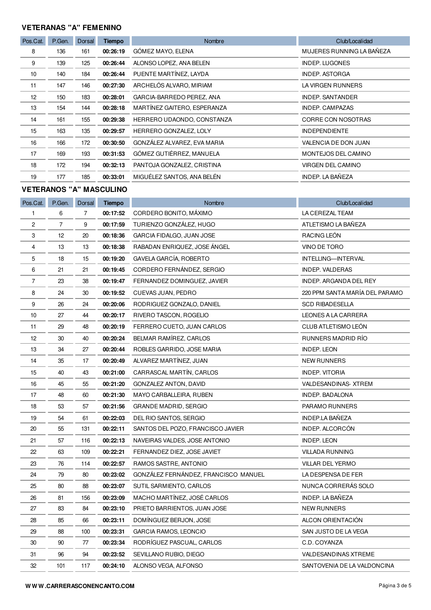## **VETERANAS "A" FEMENINO**

| Pos.Cat. | P.Gen. | Dorsal | <b>Tiempo</b> | <b>Nombre</b>               | Club/Localidad            |
|----------|--------|--------|---------------|-----------------------------|---------------------------|
| 8        | 136    | 161    | 00:26:19      | GÓMEZ MAYO, ELENA           | MUJERES RUNNING LA BAÑEZA |
| 9        | 139    | 125    | 00:26:44      | ALONSO LOPEZ, ANA BELEN     | <b>INDEP. LUGONES</b>     |
| 10       | 140    | 184    | 00:26:44      | PUENTE MARTÍNEZ, LAYDA      | <b>INDEP. ASTORGA</b>     |
| 11       | 147    | 146    | 00:27:30      | ARCHELÓS ALVARO, MIRIAM     | LA VIRGEN RUNNERS         |
| 12       | 150    | 183    | 00:28:01      | GARCIA-BARREDO PEREZ, ANA   | <b>INDEP, SANTANDER</b>   |
| 13       | 154    | 144    | 00:28:18      | MARTÍNEZ GAITERO, ESPERANZA | <b>INDEP. CAMPAZAS</b>    |
| 14       | 161    | 155    | 00:29:38      | HERRERO UDAONDO, CONSTANZA  | CORRE CON NOSOTRAS        |
| 15       | 163    | 135    | 00:29:57      | HERRERO GONZALEZ, LOLY      | <b>INDEPENDIENTE</b>      |
| 16       | 166    | 172    | 00:30:50      | GONZÁLEZ ALVAREZ, EVA MARIA | VALENCIA DE DON JUAN      |
| 17       | 169    | 193    | 00:31:53      | GÓMEZ GUTIÉRREZ, MANUELA    | MONTEJOS DEL CAMINO       |
| 18       | 172    | 194    | 00:32:13      | PANTOJA GONZALEZ, CRISTINA  | <b>VIRGEN DEL CAMINO</b>  |
| 19       | 177    | 185    | 00:33:01      | MIGUÉLEZ SANTOS, ANA BELÉN  | INDEP. LA BAÑEZA          |

## **VETERANOS "A" MASCULINO**

| Pos.Cat.       | P.Gen. | Dorsal | <b>Tiempo</b> | Nombre                               | Club/Localidad                 |
|----------------|--------|--------|---------------|--------------------------------------|--------------------------------|
| $\mathbf{1}$   | 6      | 7      | 00:17:52      | CORDERO BONITO, MÁXIMO               | LA CEREZAL TEAM                |
| $\overline{c}$ | 7      | 9      | 00:17:59      | TURIENZO GONZÁLEZ, HUGO              | ATLETISMO LA BAÑEZA            |
| 3              | 12     | 20     | 00:18:36      | GARCIA FIDALGO, JUAN JOSE            | RACING LEÓN                    |
| 4              | 13     | 13     | 00:18:38      | RABADAN ENRIQUEZ, JOSE ÁNGEL         | VINO DE TORO                   |
| 5              | 18     | 15     | 00:19:20      | GAVELA GARCÍA, ROBERTO               | <b>INTELLING-INTERVAL</b>      |
| 6              | 21     | 21     | 00:19:45      | CORDERO FERNÁNDEZ, SERGIO            | <b>INDEP. VALDERAS</b>         |
| 7              | 23     | 38     | 00:19:47      | FERNANDEZ DOMINGUEZ, JAVIER          | INDEP. ARGANDA DEL REY         |
| 8              | 24     | 30     | 00:19:52      | CUEVAS JUAN, PEDRO                   | 220 PPM SANTA MARÍA DEL PARAMO |
| 9              | 26     | 24     | 00:20:06      | RODRIGUEZ GONZALO, DANIEL            | <b>SCD RIBADESELLA</b>         |
| 10             | 27     | 44     | 00:20:17      | RIVERO TASCON, ROGELIO               | LEONES A LA CARRERA            |
| 11             | 29     | 48     | 00:20:19      | FERRERO CUETO, JUAN CARLOS           | CLUB ATLETISMO LEÓN            |
| 12             | 30     | 40     | 00:20:24      | BELMAR RAMÍREZ, CARLOS               | RUNNERS MADRID RÍO             |
| 13             | 34     | 27     | 00:20:44      | ROBLES GARRIDO, JOSE MARIA           | <b>INDEP. LEON</b>             |
| 14             | 35     | 17     | 00:20:49      | ALVAREZ MARTÍNEZ, JUAN               | NEW RUNNERS                    |
| 15             | 40     | 43     | 00:21:00      | CARRASCAL MARTÍN, CARLOS             | <b>INDEP. VITORIA</b>          |
| 16             | 45     | 55     | 00:21:20      | <b>GONZALEZ ANTON, DAVID</b>         | VALDESANDINAS-XTREM            |
| 17             | 48     | 60     | 00:21:30      | MAYO CARBALLEIRA, RUBEN              | INDEP. BADALONA                |
| 18             | 53     | 57     | 00:21:56      | <b>GRANDE MADRID, SERGIO</b>         | PARAMO RUNNERS                 |
| 19             | 54     | 61     | 00:22:03      | DEL RIO SANTOS, SERGIO               | INDEP.LA BAÑEZA                |
| 20             | 55     | 131    | 00:22:11      | SANTOS DEL POZO, FRANCISCO JAVIER    | INDEP. ALCORCÓN                |
| 21             | 57     | 116    | 00:22:13      | NAVEIRAS VALDES, JOSE ANTONIO        | <b>INDEP. LEON</b>             |
| 22             | 63     | 109    | 00:22:21      | FERNANDEZ DIEZ, JOSE JAVIET          | <b>VILLADA RUNNING</b>         |
| 23             | 76     | 114    | 00:22:57      | RAMOS SASTRE, ANTONIO                | VILLAR DEL YERMO               |
| 24             | 79     | 80     | 00:23:02      | GONZÁLEZ FERNÁNDEZ, FRANCISCO MANUEL | LA DESPENSA DE FER             |
| 25             | 80     | 88     | 00:23:07      | SUTIL SARMIENTO, CARLOS              | NUNCA CORRERÁS SOLO            |
| 26             | 81     | 156    | 00:23:09      | MACHO MARTÍNEZ, JOSÉ CARLOS          | INDEP. LA BAÑEZA               |
| 27             | 83     | 84     | 00:23:10      | PRIETO BARRIENTOS, JUAN JOSE         | <b>NEW RUNNERS</b>             |
| 28             | 85     | 66     | 00:23:11      | DOMINGUEZ BERJON, JOSE               | ALCON ORIENTACIÓN              |
| 29             | 88     | 100    | 00:23:31      | <b>GARCIA RAMOS, LEONCIO</b>         | SAN JUSTO DE LA VEGA           |
| 30             | 90     | 77     | 00:23:34      | RODRÍGUEZ PASCUAL, CARLOS            | C.D. COYANZA                   |
| 31             | 96     | 94     | 00:23:52      | SEVILLANO RUBIO, DIEGO               | <b>VALDESANDINAS XTREME</b>    |
| 32             | 101    | 117    | 00:24:10      | ALONSO VEGA, ALFONSO                 | SANTOVENIA DE LA VALDONCINA    |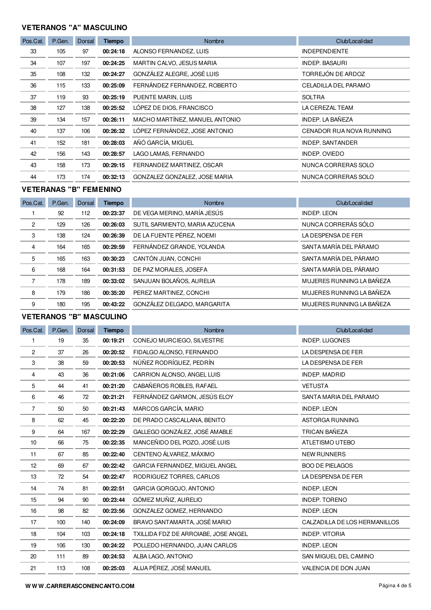## **VETERANOS "A" MASCULINO**

| Pos.Cat. | P.Gen. | Dorsal | <b>Tiempo</b> | <b>Nombre</b>                  | Club/Localidad           |
|----------|--------|--------|---------------|--------------------------------|--------------------------|
| 33       | 105    | 97     | 00:24:18      | ALONSO FERNANDEZ, LUIS         | <b>INDEPENDIENTE</b>     |
| 34       | 107    | 197    | 00:24:25      | MARTIN CALVO, JESUS MARIA      | <b>INDEP. BASAURI</b>    |
| 35       | 108    | 132    | 00:24:27      | GONZÁLEZ ALEGRE, JOSÉ LUIS     | TORREJÓN DE ARDOZ        |
| 36       | 115    | 133    | 00:25:09      | FERNÁNDEZ FERNANDEZ, ROBERTO   | CELADILLA DEL PARAMO     |
| 37       | 119    | 93     | 00:25:19      | PUENTE MARIN, LUIS             | <b>SOLTRA</b>            |
| 38       | 127    | 138    | 00:25:52      | LÓPEZ DE DIOS, FRANCISCO       | LA CEREZAL TEAM          |
| 39       | 134    | 157    | 00:26:11      | MACHO MARTÍNEZ, MANUEL ANTONIO | <b>INDEP. LA BAÑEZA</b>  |
| 40       | 137    | 106    | 00:26:32      | LÓPEZ FERNÁNDEZ, JOSE ANTONIO  | CENADOR RUA NOVA RUNNING |
| 41       | 152    | 181    | 00:28:03      | AÑÓ GARCÍA, MIGUEL             | <b>INDEP. SANTANDER</b>  |
| 42       | 156    | 143    | 00:28:57      | LAGO LAMAS, FERNANDO           | INDEP. OVIEDO            |
| 43       | 158    | 173    | 00:29:15      | FERNANDEZ MARTINEZ, OSCAR      | NUNCA CORRERAS SOLO      |
| 44       | 173    | 174    | 00:32:13      | GONZALEZ GONZALEZ, JOSE MARIA  | NUNCA CORRERAS SOLO      |

## **VETERANAS "B" FEMENINO**

| Pos.Cat.       | P.Gen. | <b>Dorsal</b> | <b>Tiempo</b> | Nombre                         | Club/Localidad            |
|----------------|--------|---------------|---------------|--------------------------------|---------------------------|
|                | 92     | 112           | 00:23:37      | DE VEGA MERINO, MARÍA JESÚS    | <b>INDEP. LEON</b>        |
| 2              | 129    | 126           | 00:26:03      | SUTIL SARMIENTO, MARIA AZUCENA | NUNCA CORRERÁS SÓLO       |
| 3              | 138    | 124           | 00:26:39      | DE LA FUENTE PÉREZ, NOEMI      | LA DESPENSA DE FER        |
| 4              | 164    | 165           | 00:29:59      | FERNÁNDEZ GRANDE, YOLANDA      | SANTA MARÍA DEL PÁRAMO    |
| 5              | 165    | 163           | 00:30:23      | CANTÓN JUAN, CONCHI            | SANTA MARÍA DEL PÁRAMO    |
| 6              | 168    | 164           | 00:31:53      | DE PAZ MORALES, JOSEFA         | SANTA MARÍA DEL PÁRAMO    |
| $\overline{7}$ | 178    | 189           | 00:33:02      | SANJUAN BOLAÑOS, AURELIA       | MUJERES RUNNING LA BAÑEZA |
| 8              | 179    | 186           | 00:35:20      | PEREZ MARTINEZ, CONCHI         | MUJERES RUNNING LA BAÑEZA |
| 9              | 180    | 195           | 00:43:22      | GONZÁLEZ DELGADO, MARGARITA    | MUJERES RUNNING LA BAÑEZA |

# **VETERANOS "B" MASCULINO**

| Pos.Cat.       | P.Gen. | Dorsal | <b>Tiempo</b> | Nombre                               | Club/Localidad                |
|----------------|--------|--------|---------------|--------------------------------------|-------------------------------|
| 1              | 19     | 35     | 00:19:21      | CONEJO MURCIEGO, SILVESTRE           | <b>INDEP. LUGONES</b>         |
| 2              | 37     | 26     | 00:20:52      | FIDALGO ALONSO, FERNANDO             | LA DESPENSA DE FER            |
| 3              | 38     | 59     | 00:20:53      | NÚÑEZ RODRÍGUEZ, PEDRÍN              | LA DESPENSA DE FER            |
| 4              | 43     | 36     | 00:21:06      | CARRION ALONSO, ANGEL LUIS           | <b>INDEP. MADRID</b>          |
| 5              | 44     | 41     | 00:21:20      | CABAÑEROS ROBLES, RAFAEL             | <b>VETUSTA</b>                |
| 6              | 46     | 72     | 00:21:21      | FERNÁNDEZ GARMON, JESÚS ELOY         | SANTA MARIA DEL PARAMO        |
| $\overline{7}$ | 50     | 50     | 00:21:43      | MARCOS GARCÍA, MARIO                 | <b>INDEP. LEON</b>            |
| 8              | 62     | 45     | 00:22:20      | DE PRADO CASCALLANA, BENITO          | ASTORGA RUNNING               |
| 9              | 64     | 167    | 00:22:29      | GALLEGO GONZÁLEZ, JOSÉ AMABLE        | TRICAN BAÑEZA                 |
| 10             | 66     | 75     | 00:22:35      | MANCEÑIDO DEL POZO, JOSÉ LUIS        | ATLETISMO UTEBO               |
| 11             | 67     | 85     | 00:22:40      | CENTENO ÁLVAREZ, MÁXIMO              | <b>NEW RUNNERS</b>            |
| 12             | 69     | 67     | 00:22:42      | GARCIA FERNANDEZ, MIGUEL ANGEL       | <b>BOO DE PIELAGOS</b>        |
| 13             | 72     | 54     | 00:22:47      | RODRIGUEZ TORRES, CARLOS             | LA DESPENSA DE FER            |
| 14             | 74     | 81     | 00:22:51      | GARCIA GORGOJO, ANTONIO              | <b>INDEP. LEON</b>            |
| 15             | 94     | 90     | 00:23:44      | GÓMEZ MUÑIZ, AURELIO                 | <b>INDEP. TORENO</b>          |
| 16             | 98     | 82     | 00:23:56      | GONZALEZ GOMEZ, HERNANDO             | <b>INDEP. LEON</b>            |
| 17             | 100    | 140    | 00:24:09      | BRAVO SANTAMARTA, JOSÉ MARIO         | CALZADILLA DE LOS HERMANILLOS |
| 18             | 104    | 103    | 00:24:18      | TXILLIDA FDZ DE ARROIABE, JOSE ANGEL | <b>INDEP. VITORIA</b>         |
| 19             | 106    | 130    | 00:24:22      | POLLEDO HERNANDO, JUAN CARLOS        | <b>INDEP. LEON</b>            |
| 20             | 111    | 89     | 00:24:53      | ALBA LAGO, ANTONIO                   | SAN MIGUEL DEL CAMINO         |
| 21             | 113    | 108    | 00:25:03      | ALIJA PÉREZ, JOSÉ MANUEL             | VALENCIA DE DON JUAN          |